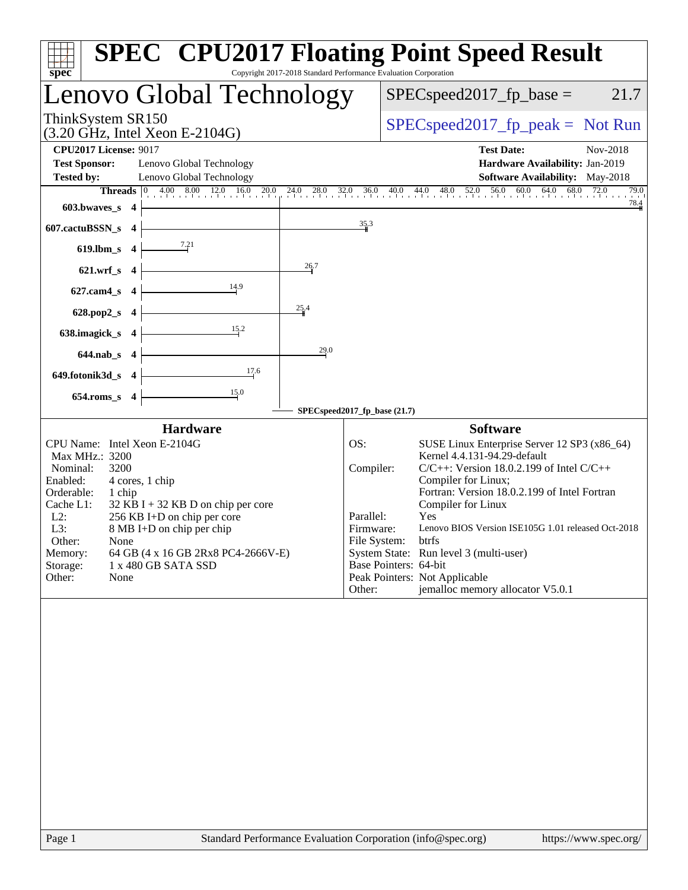| Copyright 2017-2018 Standard Performance Evaluation Corporation<br>spec <sup>®</sup>                                                                                                                                                                                                                                                                                                | <b>SPEC<sup>®</sup></b> CPU2017 Floating Point Speed Result                                                                                                                                                                                                                                                                                                                                                                                                                                                   |
|-------------------------------------------------------------------------------------------------------------------------------------------------------------------------------------------------------------------------------------------------------------------------------------------------------------------------------------------------------------------------------------|---------------------------------------------------------------------------------------------------------------------------------------------------------------------------------------------------------------------------------------------------------------------------------------------------------------------------------------------------------------------------------------------------------------------------------------------------------------------------------------------------------------|
| Lenovo Global Technology                                                                                                                                                                                                                                                                                                                                                            | $SPEC speed2017_fp\_base =$<br>21.7                                                                                                                                                                                                                                                                                                                                                                                                                                                                           |
| ThinkSystem SR150<br>$(3.20 \text{ GHz}, \text{Intel Xeon E-2104G})$                                                                                                                                                                                                                                                                                                                | $SPEC speed2017rfp peak = Not Run$                                                                                                                                                                                                                                                                                                                                                                                                                                                                            |
| <b>CPU2017 License: 9017</b><br><b>Test Sponsor:</b><br>Lenovo Global Technology                                                                                                                                                                                                                                                                                                    | <b>Test Date:</b><br>Nov-2018<br>Hardware Availability: Jan-2019                                                                                                                                                                                                                                                                                                                                                                                                                                              |
| Lenovo Global Technology<br><b>Tested by:</b><br>$603.bwaves$ 4                                                                                                                                                                                                                                                                                                                     | <b>Software Availability:</b> May-2018<br>79.0                                                                                                                                                                                                                                                                                                                                                                                                                                                                |
| 607.cactuBSSN_s 4                                                                                                                                                                                                                                                                                                                                                                   | 35.3                                                                                                                                                                                                                                                                                                                                                                                                                                                                                                          |
| 619.lbm_s $4 \mid$                                                                                                                                                                                                                                                                                                                                                                  |                                                                                                                                                                                                                                                                                                                                                                                                                                                                                                               |
| 26.7<br>$621.wrf_s$ 4<br>$\frac{14.9}{2}$<br>$627$ .cam $4_s$ 4                                                                                                                                                                                                                                                                                                                     |                                                                                                                                                                                                                                                                                                                                                                                                                                                                                                               |
| 25.4<br>$628.pop2_s$ 4                                                                                                                                                                                                                                                                                                                                                              |                                                                                                                                                                                                                                                                                                                                                                                                                                                                                                               |
| $\overline{\phantom{1525}15.2}$<br>638.imagick_s $4$                                                                                                                                                                                                                                                                                                                                |                                                                                                                                                                                                                                                                                                                                                                                                                                                                                                               |
| 29.0<br>$644.nab_s$ 4<br>$\frac{17.6}{2}$<br>649.fotonik3d_s 4                                                                                                                                                                                                                                                                                                                      |                                                                                                                                                                                                                                                                                                                                                                                                                                                                                                               |
| $\frac{15.0}{ }$<br>$654$ .roms_s $4$                                                                                                                                                                                                                                                                                                                                               |                                                                                                                                                                                                                                                                                                                                                                                                                                                                                                               |
| <b>Hardware</b>                                                                                                                                                                                                                                                                                                                                                                     | SPECspeed2017_fp_base (21.7)<br><b>Software</b>                                                                                                                                                                                                                                                                                                                                                                                                                                                               |
| CPU Name: Intel Xeon E-2104G<br>Max MHz.: 3200<br>Nominal:<br>3200<br>Enabled:<br>4 cores, 1 chip<br>Orderable:<br>1 chip<br>Cache L1:<br>$32$ KB I + 32 KB D on chip per core<br>$L2$ :<br>256 KB I+D on chip per core<br>L3:<br>8 MB I+D on chip per chip<br>Other:<br>None<br>64 GB (4 x 16 GB 2Rx8 PC4-2666V-E)<br>Memory:<br>Storage:<br>1 x 480 GB SATA SSD<br>Other:<br>None | SUSE Linux Enterprise Server 12 SP3 (x86_64)<br>OS:<br>Kernel 4.4.131-94.29-default<br>$C/C++$ : Version 18.0.2.199 of Intel $C/C++$<br>Compiler:<br>Compiler for Linux;<br>Fortran: Version 18.0.2.199 of Intel Fortran<br>Compiler for Linux<br>Parallel:<br>Yes<br>Lenovo BIOS Version ISE105G 1.01 released Oct-2018<br>Firmware:<br>File System: btrfs<br>System State: Run level 3 (multi-user)<br>Base Pointers: 64-bit<br>Peak Pointers: Not Applicable<br>jemalloc memory allocator V5.0.1<br>Other: |
|                                                                                                                                                                                                                                                                                                                                                                                     |                                                                                                                                                                                                                                                                                                                                                                                                                                                                                                               |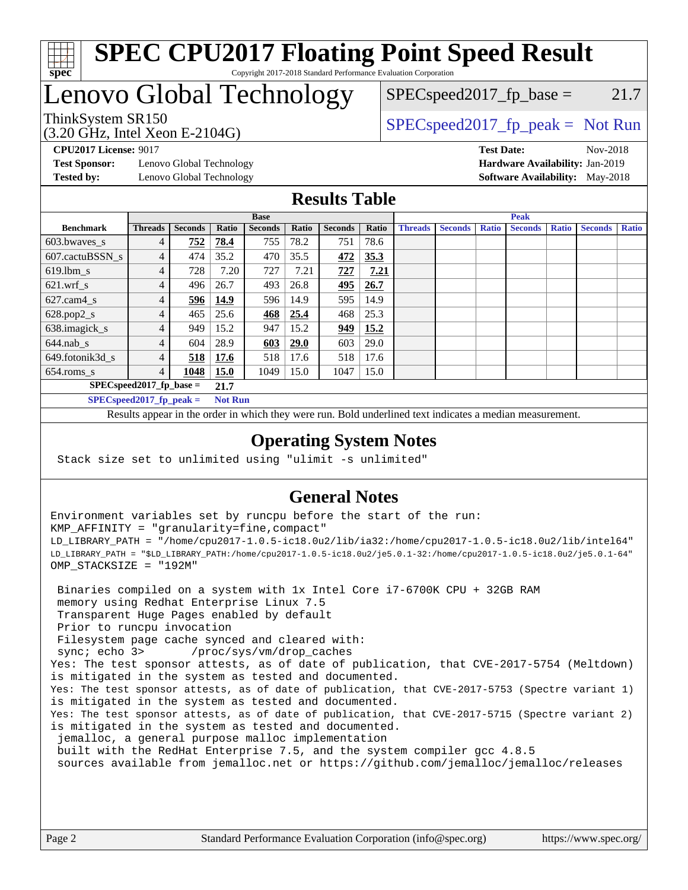

### **[SPEC CPU2017 Floating Point Speed Result](http://www.spec.org/auto/cpu2017/Docs/result-fields.html#SPECCPU2017FloatingPointSpeedResult)** Copyright 2017-2018 Standard Performance Evaluation Corporation

## Lenovo Global Technology

(3.20 GHz, Intel Xeon E-2104G)

ThinkSystem SR150  $SPEC speed2017$  [p\_peak = Not Run  $SPEC speed2017_fp\_base = 21.7$ 

**[Test Sponsor:](http://www.spec.org/auto/cpu2017/Docs/result-fields.html#TestSponsor)** Lenovo Global Technology **[Hardware Availability:](http://www.spec.org/auto/cpu2017/Docs/result-fields.html#HardwareAvailability)** Jan-2019 **[Tested by:](http://www.spec.org/auto/cpu2017/Docs/result-fields.html#Testedby)** Lenovo Global Technology **[Software Availability:](http://www.spec.org/auto/cpu2017/Docs/result-fields.html#SoftwareAvailability)** May-2018

**[CPU2017 License:](http://www.spec.org/auto/cpu2017/Docs/result-fields.html#CPU2017License)** 9017 **[Test Date:](http://www.spec.org/auto/cpu2017/Docs/result-fields.html#TestDate)** Nov-2018

### **[Results Table](http://www.spec.org/auto/cpu2017/Docs/result-fields.html#ResultsTable)**

|                                    | <b>Base</b>    |                |                |                |       | <b>Peak</b>    |       |                |                |              |                |              |                |              |
|------------------------------------|----------------|----------------|----------------|----------------|-------|----------------|-------|----------------|----------------|--------------|----------------|--------------|----------------|--------------|
| <b>Benchmark</b>                   | <b>Threads</b> | <b>Seconds</b> | Ratio          | <b>Seconds</b> | Ratio | <b>Seconds</b> | Ratio | <b>Threads</b> | <b>Seconds</b> | <b>Ratio</b> | <b>Seconds</b> | <b>Ratio</b> | <b>Seconds</b> | <b>Ratio</b> |
| $603.bwaves$ s                     | 4              | 752            | 78.4           | 755            | 78.2  | 751            | 78.6  |                |                |              |                |              |                |              |
| 607.cactuBSSN s                    | 4              | 474            | 35.2           | 470            | 35.5  | 472            | 35.3  |                |                |              |                |              |                |              |
| $619.$ lbm s                       | 4              | 728            | 7.20           | 727            | 7.21  | 727            | 7.21  |                |                |              |                |              |                |              |
| $621.wrf$ s                        | 4              | 496            | 26.7           | 493            | 26.8  | <u>495</u>     | 26.7  |                |                |              |                |              |                |              |
| $627$ .cam $4 \text{ s}$           | 4              | 596            | 14.9           | 596            | 14.9  | 595            | 14.9  |                |                |              |                |              |                |              |
| $628.pop2_s$                       | 4              | 465            | 25.6           | 468            | 25.4  | 468            | 25.3  |                |                |              |                |              |                |              |
| 638.imagick_s                      |                | 949            | 15.2           | 947            | 15.2  | 949            | 15.2  |                |                |              |                |              |                |              |
| $644$ .nab s                       | 4              | 604            | 28.9           | 603            | 29.0  | 603            | 29.0  |                |                |              |                |              |                |              |
| 649.fotonik3d s                    | 4              | 518            | 17.6           | 518            | 17.6  | 518            | 17.6  |                |                |              |                |              |                |              |
| $654$ .roms_s                      | 4              | 1048           | 15.0           | 1049           | 15.0  | 1047           | 15.0  |                |                |              |                |              |                |              |
| $SPEC speed2017$ fp base =<br>21.7 |                |                |                |                |       |                |       |                |                |              |                |              |                |              |
| SPECspeed 2017 fp peak $=$         |                |                | <b>Not Run</b> |                |       |                |       |                |                |              |                |              |                |              |

Results appear in the [order in which they were run.](http://www.spec.org/auto/cpu2017/Docs/result-fields.html#RunOrder) Bold underlined text [indicates a median measurement](http://www.spec.org/auto/cpu2017/Docs/result-fields.html#Median).

### **[Operating System Notes](http://www.spec.org/auto/cpu2017/Docs/result-fields.html#OperatingSystemNotes)**

Stack size set to unlimited using "ulimit -s unlimited"

## **[General Notes](http://www.spec.org/auto/cpu2017/Docs/result-fields.html#GeneralNotes)**

Environment variables set by runcpu before the start of the run: KMP\_AFFINITY = "granularity=fine,compact" LD\_LIBRARY\_PATH = "/home/cpu2017-1.0.5-ic18.0u2/lib/ia32:/home/cpu2017-1.0.5-ic18.0u2/lib/intel64" LD\_LIBRARY\_PATH = "\$LD\_LIBRARY\_PATH:/home/cpu2017-1.0.5-ic18.0u2/je5.0.1-32:/home/cpu2017-1.0.5-ic18.0u2/je5.0.1-64" OMP\_STACKSIZE = "192M"

 Binaries compiled on a system with 1x Intel Core i7-6700K CPU + 32GB RAM memory using Redhat Enterprise Linux 7.5 Transparent Huge Pages enabled by default Prior to runcpu invocation Filesystem page cache synced and cleared with: sync; echo 3> /proc/sys/vm/drop\_caches Yes: The test sponsor attests, as of date of publication, that CVE-2017-5754 (Meltdown) is mitigated in the system as tested and documented. Yes: The test sponsor attests, as of date of publication, that CVE-2017-5753 (Spectre variant 1) is mitigated in the system as tested and documented. Yes: The test sponsor attests, as of date of publication, that CVE-2017-5715 (Spectre variant 2) is mitigated in the system as tested and documented. jemalloc, a general purpose malloc implementation built with the RedHat Enterprise 7.5, and the system compiler gcc 4.8.5 sources available from jemalloc.net or <https://github.com/jemalloc/jemalloc/releases>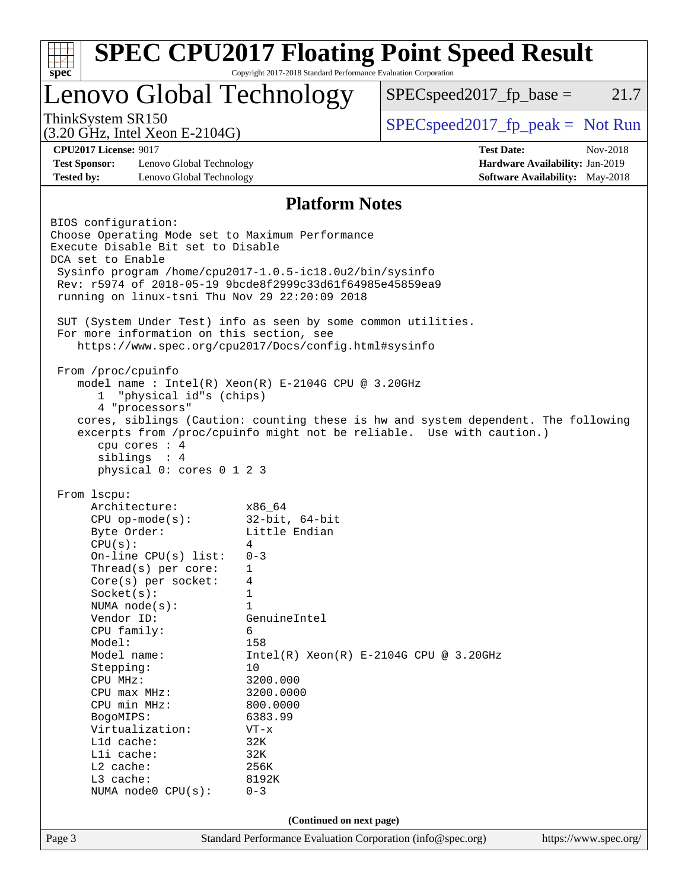|                                                                      | Lenovo Global Technology | $SPEC speed2017_fp\_base =$                                                        | 21.7     |
|----------------------------------------------------------------------|--------------------------|------------------------------------------------------------------------------------|----------|
| ThinkSystem SR150<br>$(3.20 \text{ GHz}, \text{Intel Xeon E-2104G})$ |                          | $SPEC speed2017rfp peak = Not Run$                                                 |          |
| <b>CPU2017 License: 9017</b>                                         |                          | <b>Test Date:</b>                                                                  | Nov-2018 |
| <b>Test Sponsor:</b><br>Lenovo Global Technology                     |                          | Hardware Availability: Jan-2019                                                    |          |
| <b>Tested by:</b><br>Lenovo Global Technology                        |                          | <b>Software Availability:</b> May-2018                                             |          |
|                                                                      | <b>Platform Notes</b>    |                                                                                    |          |
| BIOS configuration:                                                  |                          |                                                                                    |          |
| Choose Operating Mode set to Maximum Performance                     |                          |                                                                                    |          |
| Execute Disable Bit set to Disable                                   |                          |                                                                                    |          |
| DCA set to Enable                                                    |                          |                                                                                    |          |
| Sysinfo program /home/cpu2017-1.0.5-ic18.0u2/bin/sysinfo             |                          |                                                                                    |          |
| Rev: r5974 of 2018-05-19 9bcde8f2999c33d61f64985e45859ea9            |                          |                                                                                    |          |
| running on linux-tsni Thu Nov 29 22:20:09 2018                       |                          |                                                                                    |          |
| SUT (System Under Test) info as seen by some common utilities.       |                          |                                                                                    |          |
| For more information on this section, see                            |                          |                                                                                    |          |
| https://www.spec.org/cpu2017/Docs/config.html#sysinfo                |                          |                                                                                    |          |
|                                                                      |                          |                                                                                    |          |
| From /proc/cpuinfo                                                   |                          |                                                                                    |          |
| model name: Intel(R) Xeon(R) E-2104G CPU @ 3.20GHz                   |                          |                                                                                    |          |
| "physical id"s (chips)<br>1<br>4 "processors"                        |                          |                                                                                    |          |
|                                                                      |                          | cores, siblings (Caution: counting these is hw and system dependent. The following |          |
|                                                                      |                          | excerpts from /proc/cpuinfo might not be reliable. Use with caution.)              |          |
| cpu cores : 4                                                        |                          |                                                                                    |          |
| siblings : 4                                                         |                          |                                                                                    |          |
| physical 0: cores 0 1 2 3                                            |                          |                                                                                    |          |
| From 1scpu:                                                          |                          |                                                                                    |          |
| Architecture:                                                        | x86 64                   |                                                                                    |          |
| $CPU$ op-mode( $s$ ):                                                | $32$ -bit, $64$ -bit     |                                                                                    |          |
| Byte Order:                                                          | Little Endian            |                                                                                    |          |
| CPU(s):                                                              | 4                        |                                                                                    |          |
| On-line $CPU(s)$ list:                                               | $0 - 3$                  |                                                                                    |          |
| Thread( $s$ ) per core:                                              | 1                        |                                                                                    |          |
| $Core(s)$ per socket:                                                | 4                        |                                                                                    |          |
| Socket(s):                                                           | $\mathbf 1$              |                                                                                    |          |
| NUMA node(s):                                                        | $\mathbf{1}$             |                                                                                    |          |
| Vendor ID:<br>CPU family:                                            | GenuineIntel             |                                                                                    |          |
|                                                                      |                          |                                                                                    |          |
|                                                                      | 6                        |                                                                                    |          |
| Model:<br>Model name:                                                | 158                      |                                                                                    |          |
|                                                                      | 10                       | $Intel(R) Xeon(R) E-2104G CPU @ 3.20GHz$                                           |          |
| Stepping:<br>CPU MHz:                                                | 3200.000                 |                                                                                    |          |
| CPU max MHz:                                                         | 3200.0000                |                                                                                    |          |
| CPU min MHz:                                                         | 800.0000                 |                                                                                    |          |
| BogoMIPS:                                                            | 6383.99                  |                                                                                    |          |
| Virtualization:                                                      | $VT - x$                 |                                                                                    |          |
| L1d cache:                                                           | 32K                      |                                                                                    |          |
| Lli cache:                                                           | 32K                      |                                                                                    |          |
| L2 cache:                                                            | 256K                     |                                                                                    |          |
| L3 cache:                                                            | 8192K                    |                                                                                    |          |
| NUMA node0 CPU(s):                                                   | $0 - 3$                  |                                                                                    |          |
|                                                                      | (Continued on next page) |                                                                                    |          |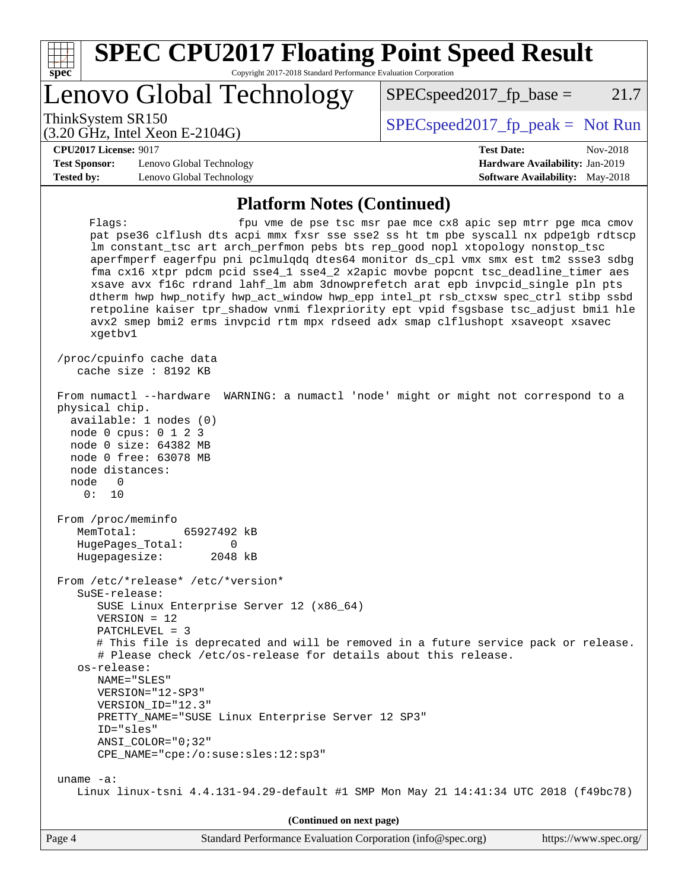| $spec^*$                                  | <b>SPEC CPU2017 Floating Point Speed Result</b><br>Copyright 2017-2018 Standard Performance Evaluation Corporation                                                                                                                                                                                                                                                                                                                                                                                                                                                                                                                                                                                                      |                                                                                                            |
|-------------------------------------------|-------------------------------------------------------------------------------------------------------------------------------------------------------------------------------------------------------------------------------------------------------------------------------------------------------------------------------------------------------------------------------------------------------------------------------------------------------------------------------------------------------------------------------------------------------------------------------------------------------------------------------------------------------------------------------------------------------------------------|------------------------------------------------------------------------------------------------------------|
|                                           | Lenovo Global Technology                                                                                                                                                                                                                                                                                                                                                                                                                                                                                                                                                                                                                                                                                                | 21.7<br>$SPEC speed2017_fp\_base =$                                                                        |
|                                           | ThinkSystem SR150<br>$(3.20 \text{ GHz}, \text{Intel Xeon E-2104G})$                                                                                                                                                                                                                                                                                                                                                                                                                                                                                                                                                                                                                                                    | $SPEC speed2017fr peak = Not Run$                                                                          |
| <b>Test Sponsor:</b><br><b>Tested by:</b> | <b>CPU2017 License: 9017</b><br>Lenovo Global Technology<br>Lenovo Global Technology                                                                                                                                                                                                                                                                                                                                                                                                                                                                                                                                                                                                                                    | <b>Test Date:</b><br>Nov-2018<br>Hardware Availability: Jan-2019<br><b>Software Availability:</b> May-2018 |
|                                           | <b>Platform Notes (Continued)</b>                                                                                                                                                                                                                                                                                                                                                                                                                                                                                                                                                                                                                                                                                       |                                                                                                            |
|                                           | Flagg:<br>pat pse36 clflush dts acpi mmx fxsr sse sse2 ss ht tm pbe syscall nx pdpelgb rdtscp<br>lm constant_tsc art arch_perfmon pebs bts rep_good nopl xtopology nonstop_tsc<br>aperfmperf eagerfpu pni pclmulqdq dtes64 monitor ds_cpl vmx smx est tm2 ssse3 sdbg<br>fma cx16 xtpr pdcm pcid sse4_1 sse4_2 x2apic movbe popcnt tsc_deadline_timer aes<br>xsave avx f16c rdrand lahf_lm abm 3dnowprefetch arat epb invpcid_single pln pts<br>dtherm hwp hwp_notify hwp_act_window hwp_epp intel_pt rsb_ctxsw spec_ctrl stibp ssbd<br>retpoline kaiser tpr_shadow vnmi flexpriority ept vpid fsgsbase tsc_adjust bmil hle<br>avx2 smep bmi2 erms invpcid rtm mpx rdseed adx smap clflushopt xsaveopt xsavec<br>xgetbv1 | fpu vme de pse tsc msr pae mce cx8 apic sep mtrr pge mca cmov                                              |
|                                           | /proc/cpuinfo cache data<br>cache size : 8192 KB                                                                                                                                                                                                                                                                                                                                                                                                                                                                                                                                                                                                                                                                        |                                                                                                            |
| node                                      | From numactl --hardware<br>physical chip.<br>available: 1 nodes (0)<br>node 0 cpus: 0 1 2 3<br>node 0 size: 64382 MB<br>node 0 free: 63078 MB<br>node distances:<br>0<br>0:<br>10                                                                                                                                                                                                                                                                                                                                                                                                                                                                                                                                       | WARNING: a numactl 'node' might or might not correspond to a                                               |
|                                           | From /proc/meminfo<br>MemTotal:<br>65927492 kB<br>HugePages_Total: 0<br>Hugepagesize:<br>2048 kB                                                                                                                                                                                                                                                                                                                                                                                                                                                                                                                                                                                                                        |                                                                                                            |
|                                           | From /etc/*release* /etc/*version*<br>SuSE-release:<br>SUSE Linux Enterprise Server 12 (x86_64)<br>$VERSION = 12$<br>PATCHLEVEL = 3<br># Please check /etc/os-release for details about this release.<br>os-release:<br>NAME="SLES"<br>VERSION="12-SP3"<br>VERSION_ID="12.3"<br>PRETTY_NAME="SUSE Linux Enterprise Server 12 SP3"<br>ID="sles"<br>$ANSI$ _COLOR=" $0:32$ "<br>CPE_NAME="cpe:/o:suse:sles:12:sp3"                                                                                                                                                                                                                                                                                                        | # This file is deprecated and will be removed in a future service pack or release.                         |
| uname $-a$ :                              | Linux linux-tsni 4.4.131-94.29-default #1 SMP Mon May 21 14:41:34 UTC 2018 (f49bc78)                                                                                                                                                                                                                                                                                                                                                                                                                                                                                                                                                                                                                                    |                                                                                                            |

**(Continued on next page)**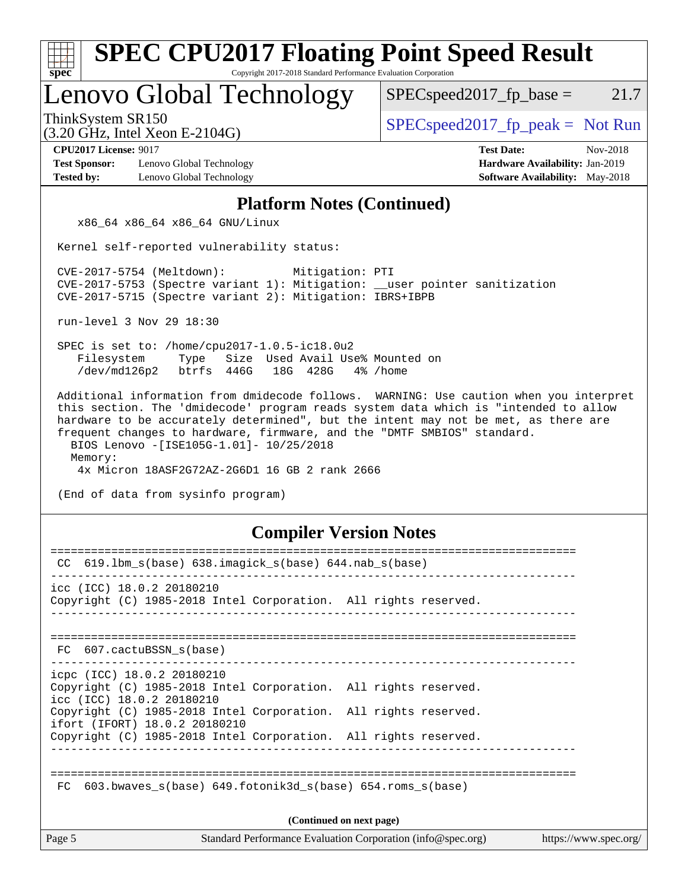| <b>SPEC CPU2017 Floating Point Speed Result</b><br>spec<br>Copyright 2017-2018 Standard Performance Evaluation Corporation                                                                                                                                                                                 |                                                                                                            |  |  |  |  |  |
|------------------------------------------------------------------------------------------------------------------------------------------------------------------------------------------------------------------------------------------------------------------------------------------------------------|------------------------------------------------------------------------------------------------------------|--|--|--|--|--|
| Lenovo Global Technology                                                                                                                                                                                                                                                                                   | $SPEC speed2017fp base =$<br>21.7                                                                          |  |  |  |  |  |
| ThinkSystem SR150<br>$(3.20 \text{ GHz}, \text{Intel Xeon E-2104G})$                                                                                                                                                                                                                                       | $SPEC speed2017fr peak = Not Run$                                                                          |  |  |  |  |  |
| <b>CPU2017 License: 9017</b><br><b>Test Sponsor:</b><br>Lenovo Global Technology<br><b>Tested by:</b><br>Lenovo Global Technology                                                                                                                                                                          | <b>Test Date:</b><br>Nov-2018<br>Hardware Availability: Jan-2019<br><b>Software Availability:</b> May-2018 |  |  |  |  |  |
| <b>Platform Notes (Continued)</b>                                                                                                                                                                                                                                                                          |                                                                                                            |  |  |  |  |  |
| x86_64 x86_64 x86_64 GNU/Linux                                                                                                                                                                                                                                                                             |                                                                                                            |  |  |  |  |  |
| Kernel self-reported vulnerability status:                                                                                                                                                                                                                                                                 |                                                                                                            |  |  |  |  |  |
| CVE-2017-5754 (Meltdown):<br>Mitigation: PTI<br>CVE-2017-5753 (Spectre variant 1): Mitigation: __user pointer sanitization<br>CVE-2017-5715 (Spectre variant 2): Mitigation: IBRS+IBPB                                                                                                                     |                                                                                                            |  |  |  |  |  |
| run-level 3 Nov 29 18:30                                                                                                                                                                                                                                                                                   |                                                                                                            |  |  |  |  |  |
| SPEC is set to: /home/cpu2017-1.0.5-ic18.0u2<br>Filesystem<br>Size Used Avail Use% Mounted on<br>Type<br>/dev/md126p2<br>btrfs 446G<br>18G 428G<br>4% /home                                                                                                                                                |                                                                                                            |  |  |  |  |  |
| hardware to be accurately determined", but the intent may not be met, as there are<br>frequent changes to hardware, firmware, and the "DMTF SMBIOS" standard.<br>BIOS Lenovo -[ISE105G-1.01]- 10/25/2018<br>Memory:<br>4x Micron 18ASF2G72AZ-2G6D1 16 GB 2 rank 2666<br>(End of data from sysinfo program) |                                                                                                            |  |  |  |  |  |
| <b>Compiler Version Notes</b>                                                                                                                                                                                                                                                                              |                                                                                                            |  |  |  |  |  |
| CC 619.1bm_s(base) 638.imagick_s(base) 644.nab_s(base)                                                                                                                                                                                                                                                     |                                                                                                            |  |  |  |  |  |
| icc (ICC) 18.0.2 20180210<br>Copyright (C) 1985-2018 Intel Corporation. All rights reserved.                                                                                                                                                                                                               |                                                                                                            |  |  |  |  |  |
| FC 607.cactuBSSN s(base)<br>_______________________                                                                                                                                                                                                                                                        |                                                                                                            |  |  |  |  |  |
| icpc (ICC) 18.0.2 20180210<br>Copyright (C) 1985-2018 Intel Corporation. All rights reserved.<br>icc (ICC) 18.0.2 20180210                                                                                                                                                                                 |                                                                                                            |  |  |  |  |  |
| Copyright (C) 1985-2018 Intel Corporation. All rights reserved.<br>ifort (IFORT) 18.0.2 20180210                                                                                                                                                                                                           |                                                                                                            |  |  |  |  |  |
| Copyright (C) 1985-2018 Intel Corporation. All rights reserved.                                                                                                                                                                                                                                            |                                                                                                            |  |  |  |  |  |
| 603.bwaves_s(base) 649.fotonik3d_s(base) 654.roms_s(base)<br>FC.                                                                                                                                                                                                                                           |                                                                                                            |  |  |  |  |  |
| (Continued on next page)                                                                                                                                                                                                                                                                                   |                                                                                                            |  |  |  |  |  |
| Page 5<br>Standard Performance Evaluation Corporation (info@spec.org)                                                                                                                                                                                                                                      | https://www.spec.org/                                                                                      |  |  |  |  |  |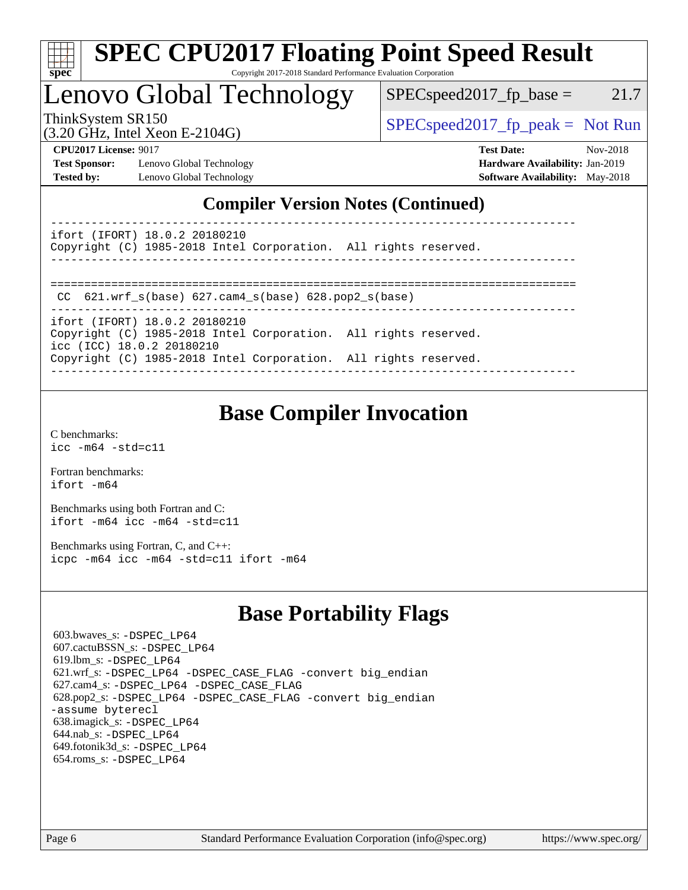

# **[SPEC CPU2017 Floating Point Speed Result](http://www.spec.org/auto/cpu2017/Docs/result-fields.html#SPECCPU2017FloatingPointSpeedResult)**

Copyright 2017-2018 Standard Performance Evaluation Corporation

## Lenovo Global Technology

 $SPEC speed2017_fp\_base = 21.7$ 

(3.20 GHz, Intel Xeon E-2104G)

ThinkSystem SR150  $SPEC speed2017$  [p\_peak = Not Run

**[Test Sponsor:](http://www.spec.org/auto/cpu2017/Docs/result-fields.html#TestSponsor)** Lenovo Global Technology **[Hardware Availability:](http://www.spec.org/auto/cpu2017/Docs/result-fields.html#HardwareAvailability)** Jan-2019 **[Tested by:](http://www.spec.org/auto/cpu2017/Docs/result-fields.html#Testedby)** Lenovo Global Technology **[Software Availability:](http://www.spec.org/auto/cpu2017/Docs/result-fields.html#SoftwareAvailability)** May-2018

**[CPU2017 License:](http://www.spec.org/auto/cpu2017/Docs/result-fields.html#CPU2017License)** 9017 **[Test Date:](http://www.spec.org/auto/cpu2017/Docs/result-fields.html#TestDate)** Nov-2018

## **[Compiler Version Notes \(Continued\)](http://www.spec.org/auto/cpu2017/Docs/result-fields.html#CompilerVersionNotes)**

----------------------------------------------------------------------------- ifort (IFORT) 18.0.2 20180210

Copyright (C) 1985-2018 Intel Corporation. All rights reserved. ------------------------------------------------------------------------------

==============================================================================

CC 621.wrf\_s(base) 627.cam4\_s(base) 628.pop2\_s(base)

----------------------------------------------------------------------------- ifort (IFORT) 18.0.2 20180210

Copyright (C) 1985-2018 Intel Corporation. All rights reserved. icc (ICC) 18.0.2 20180210 Copyright (C) 1985-2018 Intel Corporation. All rights reserved. ------------------------------------------------------------------------------

## **[Base Compiler Invocation](http://www.spec.org/auto/cpu2017/Docs/result-fields.html#BaseCompilerInvocation)**

[C benchmarks](http://www.spec.org/auto/cpu2017/Docs/result-fields.html#Cbenchmarks): [icc -m64 -std=c11](http://www.spec.org/cpu2017/results/res2018q4/cpu2017-20181210-10098.flags.html#user_CCbase_intel_icc_64bit_c11_33ee0cdaae7deeeab2a9725423ba97205ce30f63b9926c2519791662299b76a0318f32ddfffdc46587804de3178b4f9328c46fa7c2b0cd779d7a61945c91cd35)

[Fortran benchmarks](http://www.spec.org/auto/cpu2017/Docs/result-fields.html#Fortranbenchmarks): [ifort -m64](http://www.spec.org/cpu2017/results/res2018q4/cpu2017-20181210-10098.flags.html#user_FCbase_intel_ifort_64bit_24f2bb282fbaeffd6157abe4f878425411749daecae9a33200eee2bee2fe76f3b89351d69a8130dd5949958ce389cf37ff59a95e7a40d588e8d3a57e0c3fd751)

[Benchmarks using both Fortran and C](http://www.spec.org/auto/cpu2017/Docs/result-fields.html#BenchmarksusingbothFortranandC): [ifort -m64](http://www.spec.org/cpu2017/results/res2018q4/cpu2017-20181210-10098.flags.html#user_CC_FCbase_intel_ifort_64bit_24f2bb282fbaeffd6157abe4f878425411749daecae9a33200eee2bee2fe76f3b89351d69a8130dd5949958ce389cf37ff59a95e7a40d588e8d3a57e0c3fd751) [icc -m64 -std=c11](http://www.spec.org/cpu2017/results/res2018q4/cpu2017-20181210-10098.flags.html#user_CC_FCbase_intel_icc_64bit_c11_33ee0cdaae7deeeab2a9725423ba97205ce30f63b9926c2519791662299b76a0318f32ddfffdc46587804de3178b4f9328c46fa7c2b0cd779d7a61945c91cd35)

[Benchmarks using Fortran, C, and C++:](http://www.spec.org/auto/cpu2017/Docs/result-fields.html#BenchmarksusingFortranCandCXX) [icpc -m64](http://www.spec.org/cpu2017/results/res2018q4/cpu2017-20181210-10098.flags.html#user_CC_CXX_FCbase_intel_icpc_64bit_4ecb2543ae3f1412ef961e0650ca070fec7b7afdcd6ed48761b84423119d1bf6bdf5cad15b44d48e7256388bc77273b966e5eb805aefd121eb22e9299b2ec9d9) [icc -m64 -std=c11](http://www.spec.org/cpu2017/results/res2018q4/cpu2017-20181210-10098.flags.html#user_CC_CXX_FCbase_intel_icc_64bit_c11_33ee0cdaae7deeeab2a9725423ba97205ce30f63b9926c2519791662299b76a0318f32ddfffdc46587804de3178b4f9328c46fa7c2b0cd779d7a61945c91cd35) [ifort -m64](http://www.spec.org/cpu2017/results/res2018q4/cpu2017-20181210-10098.flags.html#user_CC_CXX_FCbase_intel_ifort_64bit_24f2bb282fbaeffd6157abe4f878425411749daecae9a33200eee2bee2fe76f3b89351d69a8130dd5949958ce389cf37ff59a95e7a40d588e8d3a57e0c3fd751)

## **[Base Portability Flags](http://www.spec.org/auto/cpu2017/Docs/result-fields.html#BasePortabilityFlags)**

 603.bwaves\_s: [-DSPEC\\_LP64](http://www.spec.org/cpu2017/results/res2018q4/cpu2017-20181210-10098.flags.html#suite_basePORTABILITY603_bwaves_s_DSPEC_LP64) 607.cactuBSSN\_s: [-DSPEC\\_LP64](http://www.spec.org/cpu2017/results/res2018q4/cpu2017-20181210-10098.flags.html#suite_basePORTABILITY607_cactuBSSN_s_DSPEC_LP64) 619.lbm\_s: [-DSPEC\\_LP64](http://www.spec.org/cpu2017/results/res2018q4/cpu2017-20181210-10098.flags.html#suite_basePORTABILITY619_lbm_s_DSPEC_LP64) 621.wrf\_s: [-DSPEC\\_LP64](http://www.spec.org/cpu2017/results/res2018q4/cpu2017-20181210-10098.flags.html#suite_basePORTABILITY621_wrf_s_DSPEC_LP64) [-DSPEC\\_CASE\\_FLAG](http://www.spec.org/cpu2017/results/res2018q4/cpu2017-20181210-10098.flags.html#b621.wrf_s_baseCPORTABILITY_DSPEC_CASE_FLAG) [-convert big\\_endian](http://www.spec.org/cpu2017/results/res2018q4/cpu2017-20181210-10098.flags.html#user_baseFPORTABILITY621_wrf_s_convert_big_endian_c3194028bc08c63ac5d04de18c48ce6d347e4e562e8892b8bdbdc0214820426deb8554edfa529a3fb25a586e65a3d812c835984020483e7e73212c4d31a38223) 627.cam4\_s: [-DSPEC\\_LP64](http://www.spec.org/cpu2017/results/res2018q4/cpu2017-20181210-10098.flags.html#suite_basePORTABILITY627_cam4_s_DSPEC_LP64) [-DSPEC\\_CASE\\_FLAG](http://www.spec.org/cpu2017/results/res2018q4/cpu2017-20181210-10098.flags.html#b627.cam4_s_baseCPORTABILITY_DSPEC_CASE_FLAG) 628.pop2\_s: [-DSPEC\\_LP64](http://www.spec.org/cpu2017/results/res2018q4/cpu2017-20181210-10098.flags.html#suite_basePORTABILITY628_pop2_s_DSPEC_LP64) [-DSPEC\\_CASE\\_FLAG](http://www.spec.org/cpu2017/results/res2018q4/cpu2017-20181210-10098.flags.html#b628.pop2_s_baseCPORTABILITY_DSPEC_CASE_FLAG) [-convert big\\_endian](http://www.spec.org/cpu2017/results/res2018q4/cpu2017-20181210-10098.flags.html#user_baseFPORTABILITY628_pop2_s_convert_big_endian_c3194028bc08c63ac5d04de18c48ce6d347e4e562e8892b8bdbdc0214820426deb8554edfa529a3fb25a586e65a3d812c835984020483e7e73212c4d31a38223) [-assume byterecl](http://www.spec.org/cpu2017/results/res2018q4/cpu2017-20181210-10098.flags.html#user_baseFPORTABILITY628_pop2_s_assume_byterecl_7e47d18b9513cf18525430bbf0f2177aa9bf368bc7a059c09b2c06a34b53bd3447c950d3f8d6c70e3faf3a05c8557d66a5798b567902e8849adc142926523472) 638.imagick\_s: [-DSPEC\\_LP64](http://www.spec.org/cpu2017/results/res2018q4/cpu2017-20181210-10098.flags.html#suite_basePORTABILITY638_imagick_s_DSPEC_LP64) 644.nab\_s: [-DSPEC\\_LP64](http://www.spec.org/cpu2017/results/res2018q4/cpu2017-20181210-10098.flags.html#suite_basePORTABILITY644_nab_s_DSPEC_LP64) 649.fotonik3d\_s: [-DSPEC\\_LP64](http://www.spec.org/cpu2017/results/res2018q4/cpu2017-20181210-10098.flags.html#suite_basePORTABILITY649_fotonik3d_s_DSPEC_LP64) 654.roms\_s: [-DSPEC\\_LP64](http://www.spec.org/cpu2017/results/res2018q4/cpu2017-20181210-10098.flags.html#suite_basePORTABILITY654_roms_s_DSPEC_LP64)